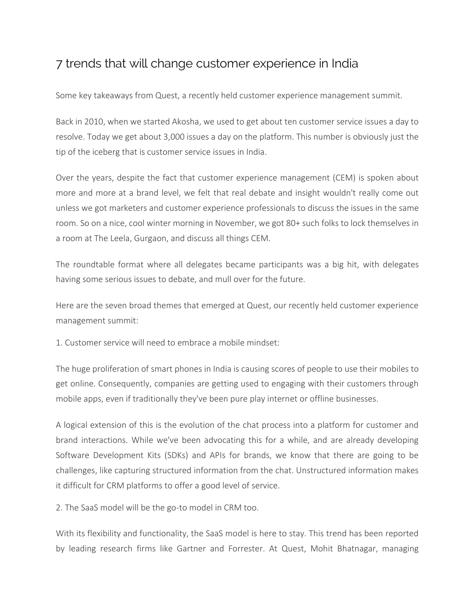## 7 trends that will change customer experience in India

Some key takeaways from Quest, a recently held customer experience management summit.

Back in 2010, when we started Akosha, we used to get about ten customer service issues a day to resolve. Today we get about 3,000 issues a day on the platform. This number is obviously just the tip of the iceberg that is customer service issues in India.

Over the years, despite the fact that customer experience management (CEM) is spoken about more and more at a brand level, we felt that real debate and insight wouldn't really come out unless we got marketers and customer experience professionals to discuss the issues in the same room. So on a nice, cool winter morning in November, we got 80+ such folks to lock themselves in a room at The Leela, Gurgaon, and discuss all things CEM.

The roundtable format where all delegates became participants was a big hit, with delegates having some serious issues to debate, and mull over for the future.

Here are the seven broad themes that emerged at Quest, our recently held customer experience management summit:

1. Customer service will need to embrace a mobile mindset:

The huge proliferation of smart phones in India is causing scores of people to use their mobiles to get online. Consequently, companies are getting used to engaging with their customers through mobile apps, even if traditionally they've been pure play internet or offline businesses.

A logical extension of this is the evolution of the chat process into a platform for customer and brand interactions. While we've been advocating this for a while, and are already developing Software Development Kits (SDKs) and APIs for brands, we know that there are going to be challenges, like capturing structured information from the chat. Unstructured information makes it difficult for CRM platforms to offer a good level of service.

2. The SaaS model will be the go-to model in CRM too.

With its flexibility and functionality, the SaaS model is here to stay. This trend has been reported by leading research firms like Gartner and Forrester. At Quest, Mohit Bhatnagar, managing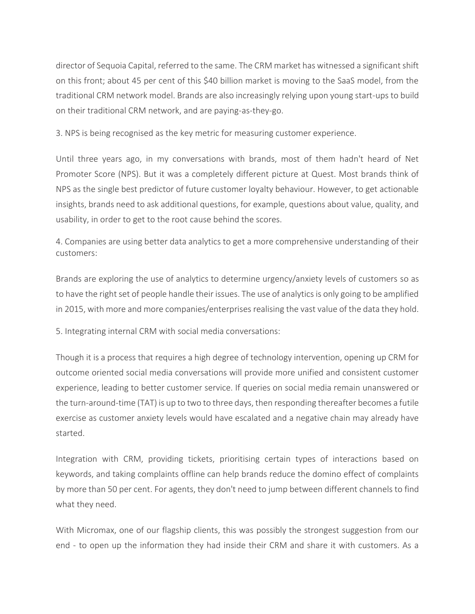director of Sequoia Capital, referred to the same. The CRM market has witnessed a significant shift on this front; about 45 per cent of this \$40 billion market is moving to the SaaS model, from the traditional CRM network model. Brands are also increasingly relying upon young start-ups to build on their traditional CRM network, and are paying-as-they-go.

3. NPS is being recognised as the key metric for measuring customer experience.

Until three years ago, in my conversations with brands, most of them hadn't heard of Net Promoter Score (NPS). But it was a completely different picture at Quest. Most brands think of NPS as the single best predictor of future customer loyalty behaviour. However, to get actionable insights, brands need to ask additional questions, for example, questions about value, quality, and usability, in order to get to the root cause behind the scores.

4. Companies are using better data analytics to get a more comprehensive understanding of their customers:

Brands are exploring the use of analytics to determine urgency/anxiety levels of customers so as to have the right set of people handle their issues. The use of analytics is only going to be amplified in 2015, with more and more companies/enterprises realising the vast value of the data they hold.

5. Integrating internal CRM with social media conversations:

Though it is a process that requires a high degree of technology intervention, opening up CRM for outcome oriented social media conversations will provide more unified and consistent customer experience, leading to better customer service. If queries on social media remain unanswered or the turn-around-time (TAT) is up to two to three days, then responding thereafter becomes a futile exercise as customer anxiety levels would have escalated and a negative chain may already have started.

Integration with CRM, providing tickets, prioritising certain types of interactions based on keywords, and taking complaints offline can help brands reduce the domino effect of complaints by more than 50 per cent. For agents, they don't need to jump between different channels to find what they need.

With Micromax, one of our flagship clients, this was possibly the strongest suggestion from our end - to open up the information they had inside their CRM and share it with customers. As a